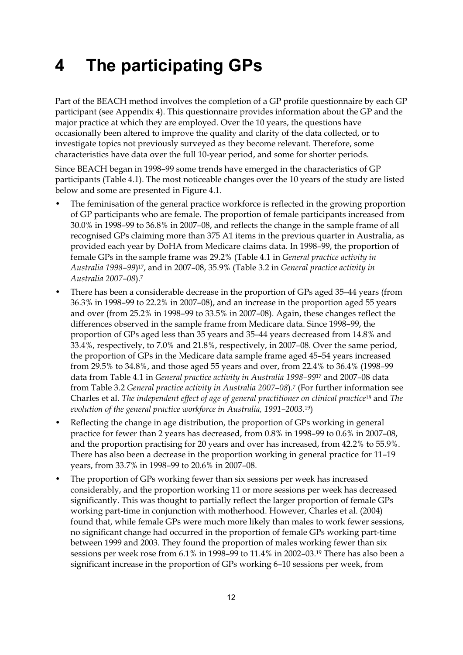## $\overline{\mathbf{4}}$ **4 The participating GPs**

Part of the BEACH method involves the completion of a GP profile questionnaire by each GP participant (see Appendix 4). This questionnaire provides information about the GP and the major practice at which they are employed. Over the 10 years, the questions have occasionally been altered to improve the quality and clarity of the data collected, or to investigate topics not previously surveyed as they become relevant. Therefore, some characteristics have data over the full 10-year period, and some for shorter periods.

Since BEACH began in 1998–99 some trends have emerged in the characteristics of GP participants (Table 4.1). The most noticeable changes over the 10 years of the study are listed below and some are presented in Figure 4.1.

- The feminisation of the general practice workforce is reflected in the growing proportion of GP participants who are female. The proportion of female participants increased from 30.0% in 1998–99 to 36.8% in 2007–08, and reflects the change in the sample frame of all recognised GPs claiming more than 375 A1 items in the previous quarter in Australia, as provided each year by DoHA from Medicare claims data. In 1998–99, the proportion of female GPs in the sample frame was 29.2% (Table 4.1 in *General practice activity in Australia 1998–99*)17, and in 2007–08, 35.9% (Table 3.2 in *General practice activity in Australia 2007–08*).7
- There has been a considerable decrease in the proportion of GPs aged 35–44 years (from 36.3% in 1998–99 to 22.2% in 2007–08), and an increase in the proportion aged 55 years and over (from 25.2% in 1998–99 to 33.5% in 2007–08). Again, these changes reflect the differences observed in the sample frame from Medicare data. Since 1998–99, the proportion of GPs aged less than 35 years and 35–44 years decreased from 14.8% and 33.4%, respectively, to 7.0% and 21.8%, respectively, in 2007–08. Over the same period, the proportion of GPs in the Medicare data sample frame aged 45–54 years increased from 29.5% to 34.8%, and those aged 55 years and over, from 22.4% to 36.4% (1998–99 data from Table 4.1 in *General practice activity in Australia 1998–99*17 and 2007–08 data from Table 3.2 *General practice activity in Australia 2007–08*).7 (For further information see Charles et al. *The independent effect of age of general practitioner on clinical practice*18 and *The evolution of the general practice workforce in Australia, 1991–2003*.19)
- Reflecting the change in age distribution, the proportion of GPs working in general practice for fewer than 2 years has decreased, from 0.8% in 1998–99 to 0.6% in 2007–08, and the proportion practising for 20 years and over has increased, from 42.2% to 55.9%. There has also been a decrease in the proportion working in general practice for 11–19 years, from 33.7% in 1998–99 to 20.6% in 2007–08.
- The proportion of GPs working fewer than six sessions per week has increased considerably, and the proportion working 11 or more sessions per week has decreased significantly. This was thought to partially reflect the larger proportion of female GPs working part-time in conjunction with motherhood. However, Charles et al. (2004) found that, while female GPs were much more likely than males to work fewer sessions, no significant change had occurred in the proportion of female GPs working part-time between 1999 and 2003. They found the proportion of males working fewer than six sessions per week rose from 6.1% in 1998–99 to 11.4% in 2002–03.19 There has also been a significant increase in the proportion of GPs working 6–10 sessions per week, from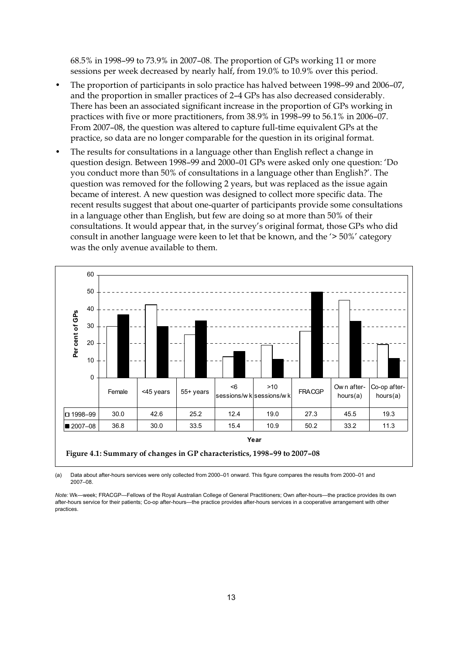68.5% in 1998–99 to 73.9% in 2007–08. The proportion of GPs working 11 or more sessions per week decreased by nearly half, from 19.0% to 10.9% over this period.

- The proportion of participants in solo practice has halved between 1998–99 and 2006–07, and the proportion in smaller practices of 2–4 GPs has also decreased considerably. There has been an associated significant increase in the proportion of GPs working in practices with five or more practitioners, from 38.9% in 1998–99 to 56.1% in 2006–07. From 2007–08, the question was altered to capture full-time equivalent GPs at the practice, so data are no longer comparable for the question in its original format.
- The results for consultations in a language other than English reflect a change in question design. Between 1998–99 and 2000–01 GPs were asked only one question: 'Do you conduct more than 50% of consultations in a language other than English?'. The question was removed for the following 2 years, but was replaced as the issue again became of interest. A new question was designed to collect more specific data. The recent results suggest that about one-quarter of participants provide some consultations in a language other than English, but few are doing so at more than 50% of their consultations. It would appear that, in the survey's original format, those GPs who did consult in another language were keen to let that be known, and the '> 50%' category was the only avenue available to them.



(a) Data about after-hours services were only collected from 2000–01 onward. This figure compares the results from 2000–01 and 2007–08.

*Note:* Wk—week; FRACGP—Fellows of the Royal Australian College of General Practitioners; Own after-hours—the practice provides its own after-hours service for their patients; Co-op after-hours—the practice provides after-hours services in a cooperative arrangement with other practices.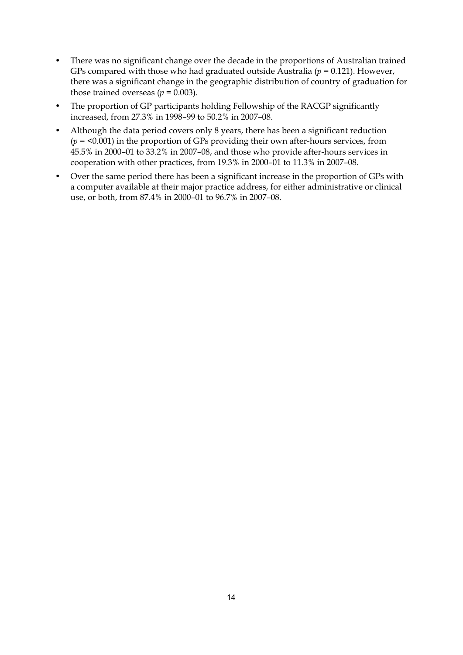- There was no significant change over the decade in the proportions of Australian trained GPs compared with those who had graduated outside Australia ( $p = 0.121$ ). However, there was a significant change in the geographic distribution of country of graduation for those trained overseas ( $p = 0.003$ ).
- The proportion of GP participants holding Fellowship of the RACGP significantly increased, from 27.3% in 1998–99 to 50.2% in 2007–08.
- Although the data period covers only 8 years, there has been a significant reduction (*p* = <0.001) in the proportion of GPs providing their own after-hours services, from 45.5% in 2000–01 to 33.2% in 2007–08, and those who provide after-hours services in cooperation with other practices, from 19.3% in 2000–01 to 11.3% in 2007–08.
- Over the same period there has been a significant increase in the proportion of GPs with a computer available at their major practice address, for either administrative or clinical use, or both, from 87.4% in 2000–01 to 96.7% in 2007–08.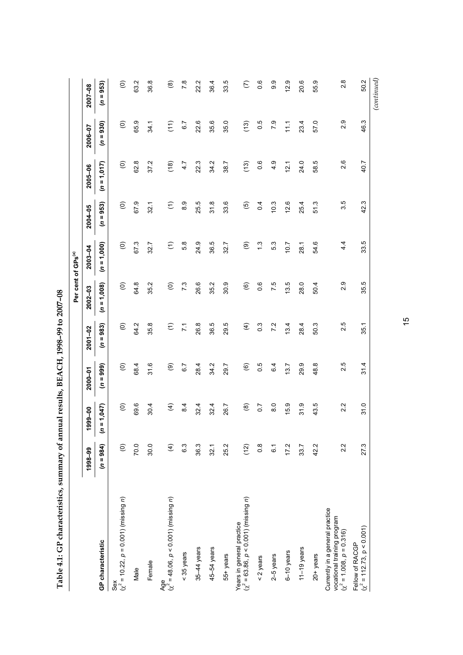| $\frac{1}{2}$                                                                                                                                                                                                                 |
|-------------------------------------------------------------------------------------------------------------------------------------------------------------------------------------------------------------------------------|
|                                                                                                                                                                                                                               |
|                                                                                                                                                                                                                               |
| くろ うろん しんしゅう                                                                                                                                                                                                                  |
| ı                                                                                                                                                                                                                             |
|                                                                                                                                                                                                                               |
|                                                                                                                                                                                                                               |
| $-14$ $-14$ $-14$ $-14$ $-14$ $-14$ $-14$ $-14$ $-14$ $-14$ $-14$ $-14$ $-14$ $-14$ $-14$ $-14$ $-14$ $-14$ $-14$ $-14$ $-14$ $-14$ $-14$ $-14$ $-14$ $-14$ $-14$ $-14$ $-14$ $-14$ $-14$ $-14$ $-14$ $-14$ $-14$ $-14$ $-14$ |
|                                                                                                                                                                                                                               |
|                                                                                                                                                                                                                               |
|                                                                                                                                                                                                                               |
| $\frac{1}{3}$<br>l                                                                                                                                                                                                            |
|                                                                                                                                                                                                                               |
|                                                                                                                                                                                                                               |
|                                                                                                                                                                                                                               |

|                                                                                                 |                        |                    |                        |                      |                        | Per cent of GPs <sup>(a)</sup> |                      |                   |                   |                   |
|-------------------------------------------------------------------------------------------------|------------------------|--------------------|------------------------|----------------------|------------------------|--------------------------------|----------------------|-------------------|-------------------|-------------------|
|                                                                                                 | 1998-99                | 1999-00            | $2000 - 01$            | $2001 - 02$          | $2002 - 03$            | 2003-04                        | 2004-05              | $2005 - 06$       | 2006-07           | 2007-08           |
| GP characteristic                                                                               | (1086)                 | 1,047<br>$\bar{s}$ | $(n = 999)$            | $(n = 983)$          | $(n = 1,008)$          | $(n = 1,000)$                  | $(n = 953)$          | $(n = 1, 017)$    | $(n = 930)$       | $(n = 953)$       |
| Sex<br>$(x^2 = 10.22, p = 0.001)$ (missing <i>n</i> )                                           | $\widehat{\mathsf{e}}$ | $\widehat{\circ}$  | $\widehat{\circ}$      | $\widehat{\odot}$    | $\widehat{\circ}$      | $\widehat{\circ}$              | $\widehat{\circ}$    | $\widehat{\odot}$ | $\widehat{\circ}$ | $\widehat{\circ}$ |
| Male                                                                                            | 70.0                   | 69.6               | 68.4                   | 64.2                 | 64.8                   | 67.3                           | 67.9                 | 62.8              | 65.9              | 63.2              |
| Female                                                                                          | 30.0                   | 30.4               | 31.6                   | 35.8                 | 35.2                   | 32.7                           | 32.1                 | 37.2              | 34.1              | 36.8              |
| Age<br>$(\chi^2 = 48.06, p < 0.001)$ (missing <i>n</i> )                                        | $\widehat{f}$          | $\widehat{f}$      | ම                      | $\widehat{\epsilon}$ | $\widehat{\mathsf{e}}$ | $\widehat{\epsilon}$           | $\widehat{\epsilon}$ | (18)              | (11)              | $\circledast$     |
| < 35 years                                                                                      | 6.3                    | 8.4                | 6.7                    | $\overline{z}$       | 73                     | 5.8                            | 8.9                  | 4.7               | 6.7               | $\overline{7}$ .8 |
| 35-44 years                                                                                     | 36.3                   | 32.4               | 28.4                   | 26.8                 | 26.6                   | 24.9                           | 25.5                 | 22.3              | 22.6              | 22.2              |
| 45-54 years                                                                                     | 32.1                   | 32.4               | 34.2                   | 36.5                 | 35.2                   | 36.5                           | 31.8                 | 34.2              | 35.6              | 36.4              |
| 55+ years                                                                                       | 25.2                   | 26.7               | 29.7                   | 29.5                 | 30.9                   | 32.7                           | 33.6                 | 38.7              | 35.0              | 33.5              |
| Years in general practice<br>$(\chi^2 = 63.86, p < 0.001)$ (missing <i>n</i> )                  | (12)                   | $\circledast$      | $\widehat{\mathbf{e}}$ | $\widehat{f}$        | $\circledcirc$         | $\circledcirc$                 | $\overline{5}$       | (13)              | (13)              | $\epsilon$        |
| $<$ 2 years                                                                                     | $0.\overline{8}$       | $\overline{0}$ .   | 0.5                    | $0.\overline{3}$     | 0.6                    | $\ddot{.}$                     | 0.4                  | 0.6               | 0.5               | 0.6               |
| $2-5$ years                                                                                     | 61                     | $\overline{8}$     | 6.4                    | 7.2                  | 7.5                    | 5.3                            | 10.3                 | 4.9               | 7.9               | 9.9               |
| $6-10$ years                                                                                    | 17.2                   | 15.9               | 13.7                   | 13.4                 | 13.5                   | 7.01                           | 12.6                 | 12.1              | $\frac{1}{11}$    | 12.9              |
| 11 $-19$ years                                                                                  | 33.7                   | 31.9               | 29.9                   | 28.4                 | 28.0                   | 28.1                           | 25.4                 | 24.0              | 23.4              | 20.6              |
| $20+years$                                                                                      | 42.2                   | 43.5               | 48.8                   | 50.3                 | 50.4                   | 54.6                           | 51.3                 | 58.5              | 57.0              | 55.9              |
| Currently in a general practice<br>vocational training program<br>$(\chi^2 = 1.008, p = 0.316)$ | 2.2                    | 2.2                | 2.5                    | 2.5                  | 2.9                    | 4.4                            | 3.5                  | 2.6               | 2.9               | $2.\overline{8}$  |
| $(\chi^2 = 112.73, p < 0.001)$<br>Fellow of RACGP                                               | 27.3                   | 31.0               | 31.4                   | 35.1                 | 35.5                   | 33.5                           | 42.3                 | 40.7              | 46.3              | 50.2              |
|                                                                                                 |                        |                    |                        |                      |                        |                                |                      |                   |                   | (continued)       |

15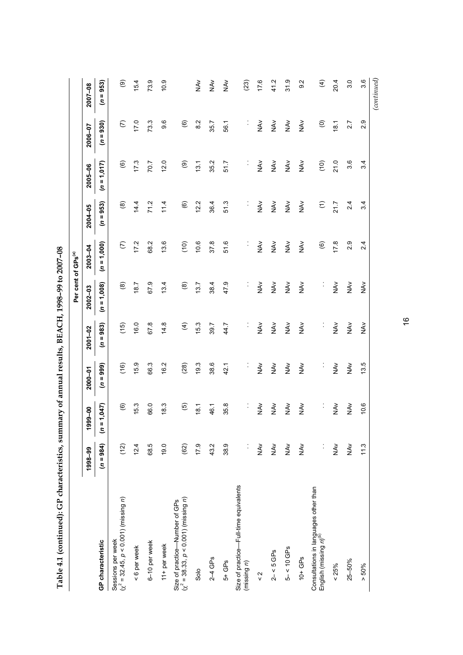| $50 - 10$<br>I<br>.<br>.<br>$\frac{1}{2}$ |
|-------------------------------------------|
|                                           |
|                                           |
|                                           |
|                                           |
| $\overline{a}$                            |
|                                           |
| I                                         |

|                                                                                          |                     |                          |                   |                      |                     | Per cent of GPs <sup>(a)</sup> |                          |                   |                        |                  |
|------------------------------------------------------------------------------------------|---------------------|--------------------------|-------------------|----------------------|---------------------|--------------------------------|--------------------------|-------------------|------------------------|------------------|
|                                                                                          | 1998-99             | 1999-00                  | $2000 - 01$       | $2001 - 02$          | $2002 - 03$         | $2003 - 04$                    | 2004-05                  | $2005 - 06$       | 2006-07                | $2007 - 08$      |
| GP characteristic                                                                        | $(n = 984)$         | 1,047<br>$\bar{a}$       | (0.666)           | $= 983$<br>S         | $(n = 1,008)$       | $(n = 1,000)$                  | $(n = 953)$              | $(n = 1, 017)$    | $(n = 930)$            | $(n = 953)$      |
| Sessions per week $(\chi^2$ = 32.45, $\rho$ < 0.001) (missing <i>n</i> )                 | (12)                | $\circledcirc$           | (16)              | (15)                 | $\circledast$       | $\widehat{c}$                  | $\circledast$            | $\widehat{\circ}$ | $\widehat{c}$          | ම                |
| < 6 per week                                                                             | 12.4                | 15.3                     | 15.9              | 16.0                 | 18.7                | 17.2                           | 14.4                     | 17.3              | 17.0                   | 15.4             |
| 6-10 per week                                                                            | 68.5                | 66.0                     | 66.3              | 67.8                 | 67.9                | 68.2                           | 71.2                     | 70.7              | 73.3                   | 73.9             |
| 11+ per week                                                                             | 19.0                | 18.3                     | 16.2              | 14.8                 | 13.4                | 13.6                           | 11.4                     | 12.0              | 9.6                    | 10.9             |
| $(\chi^2 = 38.33, p < 0.001)$ (missing <i>n</i> )<br>Size of practice-Number of GPs      | (62)                | $\widehat{\mathfrak{G}}$ | (28)              | $\widehat{f}$        | $\circledast$       | (10)                           | $\widehat{\mathfrak{G}}$ | ම                 | $\widehat{\mathbf{e}}$ |                  |
| Solo                                                                                     | 17.9                | 18.1                     | 19.3              | 153                  | 13.7                | 10.6                           | 12.2                     | 13.1              | 8.2                    | ₹<br>N           |
| $2-4$ GPs                                                                                | 43.2                | 46.1                     | 38.6              | 39.7                 | 38.4                | 37.8                           | 36.4                     | 35.2              | 35.7                   | $\frac{2}{2}$    |
| $5+GB$                                                                                   | 38.9                | 35.8                     | 42.1              | 44.7                 | 47.9                | 51.6                           | 51.3                     | 51.7              | 56.1                   | $\frac{2}{2}$    |
| Size of practice-Full-time equivalents<br>(missing n)                                    | $\ddot{\cdot}$      | $\vdots$                 | $\ddot{\cdot}$    | $\ddot{\cdot}$       | $\ddot{\cdot}$      | ¢                              | ĵ.                       | İ,                | İ,                     | (23)             |
| $\frac{2}{x}$                                                                            | $\sum_{k=1}^{N}$    | NAV                      | NAV               | $\frac{2}{5}$        | NAV                 | ₹<br>NA∨                       | $\sum_{k=1}^{N}$         | NA <sub>V</sub>   | ₹<br>NA∨               | 17.6             |
| $2 - 5$ GPs                                                                              | $\frac{\lambda}{2}$ | NAV                      | $\tilde{\vec{z}}$ | NAV                  | NAV                 | λ×<br>Σ                        | NA <sub>V</sub>          | NAV               | $\frac{2}{2}$          | 41.2             |
| $5 - 5 < 10$ GPs                                                                         | $\frac{2}{5}$       | <b>NAV</b>               | $\tilde{\vec{z}}$ | NAV                  | NAV                 | $\check{\mathfrak{F}}$         | NAV                      | <b>NAV</b>        | ₹<br>NA∨               | 31.9             |
| $10+GPs$                                                                                 | $\frac{2}{2}$       | NAV                      | $\frac{2}{5}$     | $\tilde{\mathbf{z}}$ | $\frac{\lambda}{2}$ | $\frac{2}{2}$                  | NAV                      | NA <sub>V</sub>   | $\frac{2}{2}$          | 9.2              |
| Consultations in languages other than<br>English (missing $n)^{\scriptscriptstyle{(b)}}$ | $\ddot{\cdot}$      | $\vdots$                 | $\ddot{\cdot}$    | $\ddot{\cdot}$       | $\ddot{\cdot}$      | $\widehat{\mathfrak{G}}$       | $\widehat{\Xi}$          | (10)              | $\widehat{\circ}$      | $\widehat{f}$    |
| $& 25\%$                                                                                 | $\sum_{k=1}^{N}$    | NAV                      | $\frac{2}{2}$     | NAV                  | NAV                 | 17.8                           | 21.7                     | 21.0              | 18.1                   | 20.4             |
| 25-50%                                                                                   | $\frac{2}{5}$       | NAV                      | NAV               | NAV                  | NAV                 | 2.9                            | 2.4                      | 3.6               | 2.7                    | 3.0              |
| $> 50\%$                                                                                 | 11.3                | 10.6                     | 13.5              | $\frac{\lambda}{2}$  | $\frac{\lambda}{2}$ | 2.4                            | 3.4                      | 3.4               | 2.9                    | 3.6              |
|                                                                                          |                     |                          |                   |                      |                     |                                |                          |                   |                        | $_{(continued)}$ |

16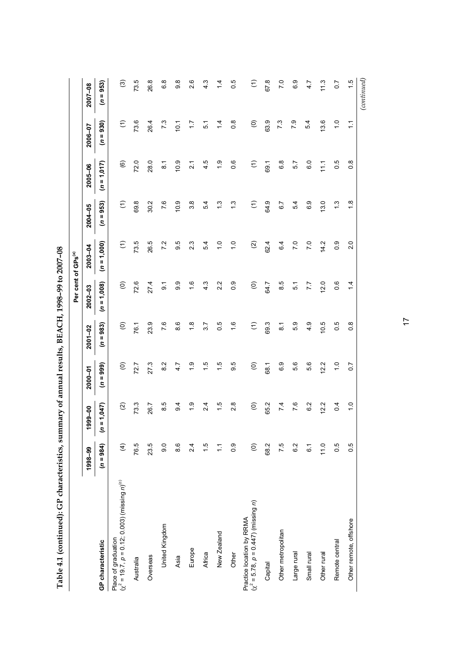| ֧֚֚֝<br>֧֧ׅ֧֧֧֦֧֧ׅ֧֧ׅ֧֧֧ׅ֧֧֚֚֚֚֚֚֚֚֚֚֚֚֚֚֚֚֚֚֚֚֚֚֚֚֚֚֚֚֚֚֝֝֓֝֓֝֓֝֬֜֓֝֬֜֓֝֬֝֬֜֝֬֝֬ |
|-----------------------------------------------------------------------------------|
| composed the contribution in the<br>l                                             |
|                                                                                   |
|                                                                                   |
|                                                                                   |
|                                                                                   |
|                                                                                   |
| $\overline{\phantom{a}}$                                                          |
|                                                                                   |
| $\frac{1}{1}$<br>;<br>                                                            |

|                                                                                   |                 |                    |                   |                   | Per cent of GPs <sup>(a)</sup> |                      |                  |                        |                      |                      |
|-----------------------------------------------------------------------------------|-----------------|--------------------|-------------------|-------------------|--------------------------------|----------------------|------------------|------------------------|----------------------|----------------------|
|                                                                                   | 1998-99         | 1999-00            | $2000 - 01$       | $2001 - 02$       | $2002 - 03$                    | $2003 - 04$          | 2004-05          | 2005-06                | 2006-07              | $2007 - 08$          |
| GP characteristic                                                                 | $(n = 984)$     | $(n = 1, 047)$     | $(n = 999)$       | $(n = 983)$       | $(n = 1,008)$                  | $(n = 1,000)$        | $(n = 953)$      | $(n = 1, 017)$         | $(n = 930)$          | $(n = 953)$          |
| Place of graduation<br>$(\chi^2 = 19.7, p = 0.12; 0.003)$ (missing $n)^{(\rm c)}$ | $\widehat{f}$   | $\widehat{\Omega}$ | $\widehat{\circ}$ | $\widehat{\circ}$ | $\widehat{\circ}$              | $\widehat{\epsilon}$ | $\widehat{\tau}$ | $\widehat{\mathbf{e}}$ | $\widehat{\epsilon}$ | ම                    |
| Australia                                                                         | 76.5            | 73.3               | 72.7              | 76.1              | 72.6                           | 73.5                 | 69.8             | 72.0                   | 73.6                 | 73.5                 |
| Overseas                                                                          | 23.5            | 26.7               | 27.3              | 23.9              | 27.4                           | 26.5                 | 30.2             | 28.0                   | 26.4                 | 26.8                 |
| United Kingdom                                                                    | 0.6             | 8.5                | 8.2               | 7.6               | $\overline{9}$                 | 7.2                  | 7.6              | $\overline{8}$ .1      | 7.3                  | 6.8                  |
| Asia                                                                              | 8.6             | 9.4                | 4.7               | 8.6               | 9.9                            | 9.5                  | 10.9             | 10.9                   | 10.1                 | $\frac{8}{9}$        |
| Europe                                                                            | 2.4             | $\frac{0}{1}$      | $\frac{6}{1}$     | $\frac{8}{1}$     | $\frac{6}{1}$                  | 2.3                  | $3.\overline{8}$ | $\overline{2}$ 1       | 1.7                  | 2.6                  |
| Africa                                                                            | $\frac{1}{1}$   | 2.4                | $\frac{5}{1}$     | 3.7               | 4.3                            | 5.4                  | 5.4              | 4.5                    | $\overline{5}$       | 4.3                  |
| New Zealand                                                                       | Ξ               | $\frac{1}{5}$      | $\frac{1}{5}$     | 0.5               | 2.2                            | $\frac{0}{1}$        | $\ddot{.}$       | $\frac{0}{1}$          | $\dot{4}$            | $\frac{4}{1}$        |
| Other                                                                             | 0.9             | 2.8                | 9.5               | $\frac{6}{1}$     | 0.9                            | $\frac{0}{1}$        | $\ddot{.}3$      | 0.6                    | $0.\overline{8}$     | 0.5                  |
| $(\chi^2 = 5.78, p = 0.447)$ (missing <i>n</i> )<br>Practice location by RRMA     | $\widehat{\in}$ | $\widehat{\in}$    | $\widehat{\circ}$ | $\in$             | $\widehat{\circ}$              | $\widehat{\infty}$   | $\widehat{\tau}$ | $\widehat{\epsilon}$   | $\widehat{\circ}$    | $\widehat{\epsilon}$ |
| Capital                                                                           | 68.2            | 65.2               | 68.1              | 69.3              | 64.7                           | 624                  | 64.9             | 69.1                   | 63.9                 | 67.8                 |
| Other metropolitan                                                                | 7.5             | 7.4                | 6.9               | $\overline{8}$ .  | 8.5                            | 6.4                  | 6.7              | 6.8                    | 7.3                  | 7.0                  |
| Large rural                                                                       | 6.2             | 7.6                | 5.6               | 5.9               | 51                             | 7.0                  | 5.4              | 5.7                    | 7.9                  | 6.9                  |
| Small rural                                                                       | 61              | 6.2                | 5.6               | 4.9               | 7.7                            | 7.0                  | 6.9              | 6.0                    | 5.4                  | 4.7                  |
| Other rural                                                                       | 11.0            | 12.2               | 12.2              | 10.5              | 12.0                           | 14.2                 | 13.0             | 11.1                   | 13.6                 | 11.3                 |
| Remote central                                                                    | 0.5             | 0.4                | $\frac{0}{1}$     | 0.5               | 0.6                            | 0.9                  | $\ddot{.}$       | 0.5                    | $\frac{0}{1}$        | 0.7                  |
| Other remote, offshore                                                            | 0.5             | $\frac{0}{1}$      | $\overline{0}$ .  | $\frac{8}{2}$     | 1.4                            | 2.0                  | $\frac{8}{1}$    | $\frac{8}{2}$          | $\frac{1}{1}$        | $\frac{5}{1}$        |
|                                                                                   |                 |                    |                   |                   |                                |                      |                  |                        |                      | (continued)          |

17